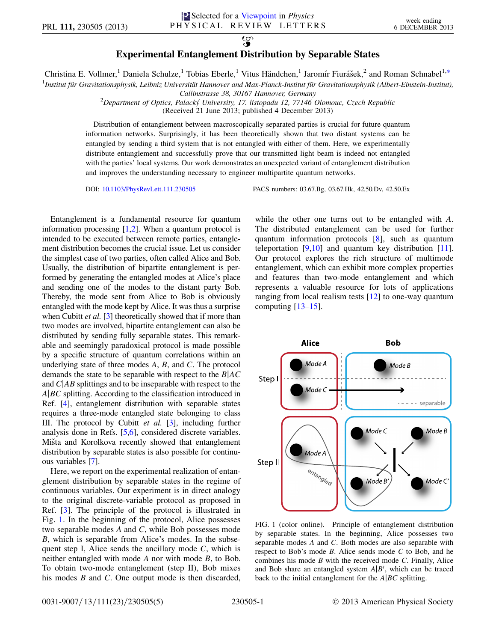## $\overline{\mathbf{S}}$ Experimental Entanglement Distribution by Separable States

<span id="page-0-1"></span>Christina E. Vollmer,<sup>1</sup> Daniela Schulze,<sup>1</sup> Tobias Eberle,<sup>1</sup> Vitus Händchen,<sup>1</sup> Jaromír Fiurášek,<sup>2</sup> and Roman Schnabel<sup>1,[\\*](#page-3-0)</sup>

<sup>1</sup>Institut für Gravitationsphysik, Leibniz Universität Hannover and Max-Planck-Institut für Gravitationsphysik (Albert-Einstein-Institut),

Callinstrasse 38, 30167 Hannover, Germany

<sup>2</sup>Department of Optics, Palacký University, 17. listopadu 12, 77146 Olomouc, Czech Republic

(Received 21 June 2013; published 4 December 2013)

Distribution of entanglement between macroscopically separated parties is crucial for future quantum information networks. Surprisingly, it has been theoretically shown that two distant systems can be entangled by sending a third system that is not entangled with either of them. Here, we experimentally distribute entanglement and successfully prove that our transmitted light beam is indeed not entangled with the parties' local systems. Our work demonstrates an unexpected variant of entanglement distribution and improves the understanding necessary to engineer multipartite quantum networks.

DOI: [10.1103/PhysRevLett.111.230505](http://dx.doi.org/10.1103/PhysRevLett.111.230505) PACS numbers: 03.67.Bg, 03.67.Hk, 42.50.Dv, 42.50.Ex

Entanglement is a fundamental resource for quantum information processing [\[1,](#page-3-1)[2](#page-3-2)]. When a quantum protocol is intended to be executed between remote parties, entanglement distribution becomes the crucial issue. Let us consider the simplest case of two parties, often called Alice and Bob. Usually, the distribution of bipartite entanglement is performed by generating the entangled modes at Alice's place and sending one of the modes to the distant party Bob. Thereby, the mode sent from Alice to Bob is obviously entangled with the mode kept by Alice. It was thus a surprise when Cubitt *et al.* [\[3](#page-3-3)] theoretically showed that if more than two modes are involved, bipartite entanglement can also be distributed by sending fully separable states. This remarkable and seemingly paradoxical protocol is made possible by a specific structure of quantum correlations within an underlying state of three modes  $A$ ,  $B$ , and  $C$ . The protocol demands the state to be separable with respect to the  $B|AC$ and  $C|AB$  splittings and to be inseparable with respect to the  $A|BC$  splitting. According to the classification introduced in Ref. [[4](#page-3-4)], entanglement distribution with separable states requires a three-mode entangled state belonging to class III. The protocol by Cubitt et al. [[3\]](#page-3-3), including further analysis done in Refs. [\[5](#page-3-5),[6\]](#page-3-6), considered discrete variables. Mišta and Korolkova recently showed that entanglement distribution by separable states is also possible for continuous variables [\[7](#page-3-7)].

Here, we report on the experimental realization of entanglement distribution by separable states in the regime of continuous variables. Our experiment is in direct analogy to the original discrete-variable protocol as proposed in Ref. [\[3](#page-3-3)]. The principle of the protocol is illustrated in Fig. [1.](#page-0-0) In the beginning of the protocol, Alice possesses two separable modes A and C, while Bob possesses mode B, which is separable from Alice's modes. In the subsequent step I, Alice sends the ancillary mode  $C$ , which is neither entangled with mode A nor with mode B, to Bob. To obtain two-mode entanglement (step II), Bob mixes his modes *B* and *C*. One output mode is then discarded, while the other one turns out to be entangled with A. The distributed entanglement can be used for further quantum information protocols [[8](#page-3-8)], such as quantum teleportation  $[9,10]$  $[9,10]$  $[9,10]$  $[9,10]$  $[9,10]$  and quantum key distribution  $[11]$  $[11]$ . Our protocol explores the rich structure of multimode entanglement, which can exhibit more complex properties and features than two-mode entanglement and which represents a valuable resource for lots of applications ranging from local realism tests [\[12\]](#page-3-12) to one-way quantum computing [\[13–](#page-3-13)[15](#page-3-14)].

<span id="page-0-0"></span>

FIG. 1 (color online). Principle of entanglement distribution by separable states. In the beginning, Alice possesses two separable modes A and C. Both modes are also separable with respect to Bob's mode  $B$ . Alice sends mode  $C$  to Bob, and he combines his mode  $B$  with the received mode  $C$ . Finally, Alice and Bob share an entangled system  $A|B'$ , which can be traced back to the initial entanglement for the  $A|BC$  splitting.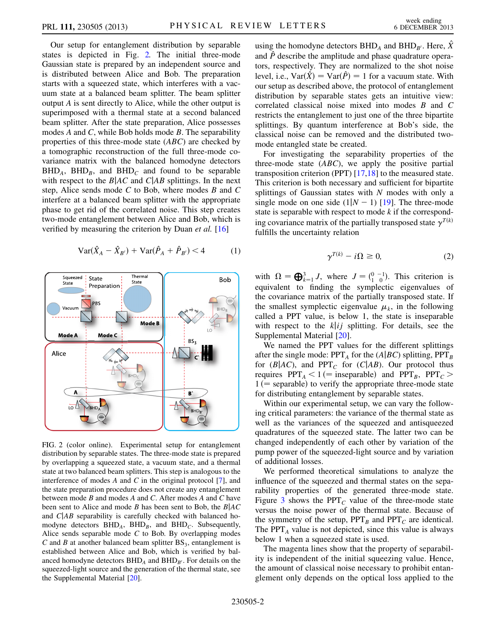Our setup for entanglement distribution by separable states is depicted in Fig. [2.](#page-1-0) The initial three-mode Gaussian state is prepared by an independent source and is distributed between Alice and Bob. The preparation starts with a squeezed state, which interferes with a vacuum state at a balanced beam splitter. The beam splitter output A is sent directly to Alice, while the other output is superimposed with a thermal state at a second balanced beam splitter. After the state preparation, Alice possesses modes A and C, while Bob holds mode B. The separability properties of this three-mode state (ABC) are checked by a tomographic reconstruction of the full three-mode covariance matrix with the balanced homodyne detectors  $BHD<sub>A</sub>$ ,  $BHD<sub>B</sub>$ , and  $BHD<sub>C</sub>$  and found to be separable with respect to the  $B|AC$  and  $C|AB$  splittings. In the next step, Alice sends mode  $C$  to Bob, where modes  $B$  and  $C$ interfere at a balanced beam splitter with the appropriate phase to get rid of the correlated noise. This step creates two-mode entanglement between Alice and Bob, which is verified by measuring the criterion by Duan et al. [[16](#page-3-15)]

$$
Var(\hat{X}_A - \hat{X}_{B'}) + Var(\hat{P}_A + \hat{P}_{B'}) < 4
$$
 (1)

<span id="page-1-0"></span>

FIG. 2 (color online). Experimental setup for entanglement distribution by separable states. The three-mode state is prepared by overlapping a squeezed state, a vacuum state, and a thermal state at two balanced beam splitters. This step is analogous to the interference of modes  $A$  and  $C$  in the original protocol  $[7]$ , and the state preparation procedure does not create any entanglement between mode B and modes A and C. After modes A and C have been sent to Alice and mode B has been sent to Bob, the  $B|AC$ and  $C|AB$  separability is carefully checked with balanced homodyne detectors  $BHD<sub>A</sub>$ ,  $BHD<sub>B</sub>$ , and  $BHD<sub>C</sub>$ . Subsequently, Alice sends separable mode  $C$  to Bob. By overlapping modes C and B at another balanced beam splitter  $BS_3$ , entanglement is established between Alice and Bob, which is verified by balanced homodyne detectors  $BHD<sub>A</sub>$  and  $BHD<sub>B'</sub>$ . For details on the squeezed-light source and the generation of the thermal state, see the Supplemental Material [\[20\]](#page-4-0).

using the homodyne detectors  $BHD_A$  and  $BHD_{B'}$ . Here, X and  $\hat{P}$  describe the amplitude and phase quadrature operators, respectively. They are normalized to the shot noise level, i.e.,  $\text{Var}(\hat{X}) = \text{Var}(\hat{P}) = 1$  for a vacuum state. With our setup as described above, the protocol of entanglement distribution by separable states gets an intuitive view: correlated classical noise mixed into modes B and C restricts the entanglement to just one of the three bipartite splittings. By quantum interference at Bob's side, the classical noise can be removed and the distributed twomode entangled state be created.

For investigating the separability properties of the three-mode state  $(ABC)$ , we apply the positive partial transposition criterion (PPT) [\[17](#page-3-16)[,18\]](#page-3-17) to the measured state. This criterion is both necessary and sufficient for bipartite splittings of Gaussian states with  $N$  modes with only a single mode on one side  $(1|N - 1)$  [\[19\]](#page-3-18). The three-mode state is separable with respect to mode  $k$  if the corresponding covariance matrix of the partially transposed state  $\gamma^{T(k)}$ fulfills the uncertainty relation

$$
\gamma^{T(k)} - i\Omega \ge 0,\tag{2}
$$

with  $\Omega = \bigoplus_{k=1}^{3} J$ , where  $J = \begin{pmatrix} 0 & -1 \\ 1 & 0 \end{pmatrix}$ . This criterion is equivalent to finding the symplectic eigenvalues of the covariance matrix of the partially transposed state. If the smallest symplectic eigenvalue  $\mu_k$ , in the following called a PPT value, is below 1, the state is inseparable with respect to the  $k[i]$  splitting. For details, see the Supplemental Material [[20](#page-4-0)].

We named the PPT values for the different splittings after the single mode:  $PPT_A$  for the (A|BC) splitting,  $PPT_B$ for ( $B|AC$ ), and PPT<sub>C</sub> for ( $C|AB$ ). Our protocol thus requires  $PPT_A < 1$  (= inseparable) and  $PPT_B$ ,  $PPT_C >$  $1$  (= separable) to verify the appropriate three-mode state for distributing entanglement by separable states.

Within our experimental setup, we can vary the following critical parameters: the variance of the thermal state as well as the variances of the squeezed and antisqueezed quadratures of the squeezed state. The latter two can be changed independently of each other by variation of the pump power of the squeezed-light source and by variation of additional losses.

We performed theoretical simulations to analyze the influence of the squeezed and thermal states on the separability properties of the generated three-mode state. Figure [3](#page-2-0) shows the PPT<sub>C</sub> value of the three-mode state versus the noise power of the thermal state. Because of the symmetry of the setup,  $PPT_B$  and  $PPT_C$  are identical. The  $PPT_A$  value is not depicted, since this value is always below 1 when a squeezed state is used.

The magenta lines show that the property of separability is independent of the initial squeezing value. Hence, the amount of classical noise necessary to prohibit entanglement only depends on the optical loss applied to the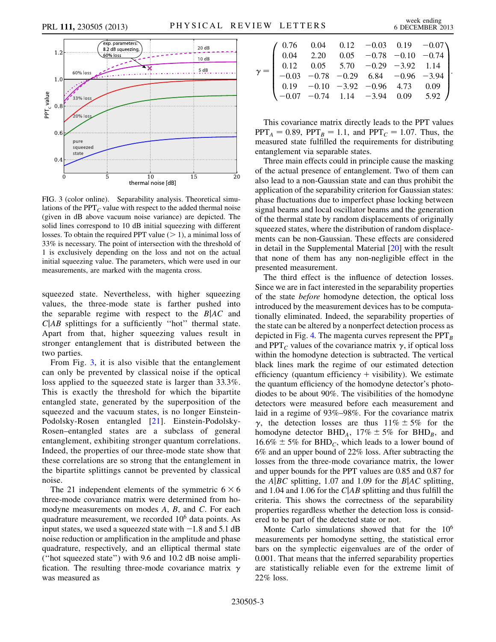

<span id="page-2-0"></span>

FIG. 3 (color online). Separability analysis. Theoretical simulations of the PPT $<sub>C</sub>$  value with respect to the added thermal noise</sub> (given in dB above vacuum noise variance) are depicted. The solid lines correspond to 10 dB initial squeezing with different losses. To obtain the required PPT value  $(> 1)$ , a minimal loss of 33% is necessary. The point of intersection with the threshold of 1 is exclusively depending on the loss and not on the actual initial squeezing value. The parameters, which were used in our measurements, are marked with the magenta cross.

squeezed state. Nevertheless, with higher squeezing values, the three-mode state is farther pushed into the separable regime with respect to the  $B|AC$  and  $C|AB$  splittings for a sufficiently "hot" thermal state. Apart from that, higher squeezing values result in stronger entanglement that is distributed between the two parties.

From Fig. [3,](#page-2-0) it is also visible that the entanglement can only be prevented by classical noise if the optical loss applied to the squeezed state is larger than 33.3%. This is exactly the threshold for which the bipartite entangled state, generated by the superposition of the squeezed and the vacuum states, is no longer Einstein-Podolsky-Rosen entangled [[21](#page-4-1)]. Einstein-Podolsky-Rosen–entangled states are a subclass of general entanglement, exhibiting stronger quantum correlations. Indeed, the properties of our three-mode state show that these correlations are so strong that the entanglement in the bipartite splittings cannot be prevented by classical noise.

The 21 independent elements of the symmetric  $6 \times 6$ three-mode covariance matrix were determined from homodyne measurements on modes A, B, and C. For each quadrature measurement, we recorded  $10<sup>6</sup>$  data points. As input states, we used a squeezed state with  $-1.8$  and 5.1 dB noise reduction or amplification in the amplitude and phase quadrature, respectively, and an elliptical thermal state (''hot squeezed state'') with 9.6 and 10.2 dB noise amplification. The resulting three-mode covariance matrix  $\gamma$ was measured as

|  | $\left( \begin{array}{cccccc} 0.76 & 0.04 & 0.12 & -0.03 & 0.19 & -0.07 \\ 0.04 & 2.20 & 0.05 & -0.78 & -0.10 & -0.74 \\ 0.12 & 0.05 & 5.70 & -0.29 & -3.92 & 1.14 \\ -0.03 & -0.78 & -0.29 & 6.84 & -0.96 & -3.94 \\ 0.19 & -0.10 & -3.92 & -0.96 & 4.73 & 0.09 \\ -0.07 & -0.74 & 1.14 & -3.94 & 0.09$ |  |  |  |
|--|----------------------------------------------------------------------------------------------------------------------------------------------------------------------------------------------------------------------------------------------------------------------------------------------------------|--|--|--|

This covariance matrix directly leads to the PPT values  $PPT_A = 0.89$ ,  $PPT_B = 1.1$ , and  $PPT_C = 1.07$ . Thus, the measured state fulfilled the requirements for distributing entanglement via separable states.

Three main effects could in principle cause the masking of the actual presence of entanglement. Two of them can also lead to a non-Gaussian state and can thus prohibit the application of the separability criterion for Gaussian states: phase fluctuations due to imperfect phase locking between signal beams and local oscillator beams and the generation of the thermal state by random displacements of originally squeezed states, where the distribution of random displacements can be non-Gaussian. These effects are considered in detail in the Supplemental Material [\[20\]](#page-4-0) with the result that none of them has any non-negligible effect in the presented measurement.

The third effect is the influence of detection losses. Since we are in fact interested in the separability properties of the state before homodyne detection, the optical loss introduced by the measurement devices has to be computationally eliminated. Indeed, the separability properties of the state can be altered by a nonperfect detection process as depicted in Fig. [4.](#page-3-19) The magenta curves represent the  $PPT_B$ and PPT<sub>C</sub> values of the covariance matrix  $\gamma$ , if optical loss within the homodyne detection is subtracted. The vertical black lines mark the regime of our estimated detection efficiency (quantum efficiency  $+$  visibility). We estimate the quantum efficiency of the homodyne detector's photodiodes to be about 90%. The visibilities of the homodyne detectors were measured before each measurement and laid in a regime of 93%–98%. For the covariance matrix  $\gamma$ , the detection losses are thus  $11\% \pm 5\%$  for the homodyne detector BHD<sub>A</sub>,  $17\% \pm 5\%$  for BHD<sub>B</sub>, and  $16.6\% \pm 5\%$  for BHD<sub>C</sub>, which leads to a lower bound of 6% and an upper bound of 22% loss. After subtracting the losses from the three-mode covariance matrix, the lower and upper bounds for the PPT values are 0.85 and 0.87 for the A $\vert BC$  splitting, 1.07 and 1.09 for the B $\vert AC$  splitting, and 1.04 and 1.06 for the  $C|AB$  splitting and thus fulfill the criteria. This shows the correctness of the separability properties regardless whether the detection loss is considered to be part of the detected state or not.

Monte Carlo simulations showed that for the  $10^6$ measurements per homodyne setting, the statistical error bars on the symplectic eigenvalues are of the order of 0.001. That means that the inferred separability properties are statistically reliable even for the extreme limit of 22% loss.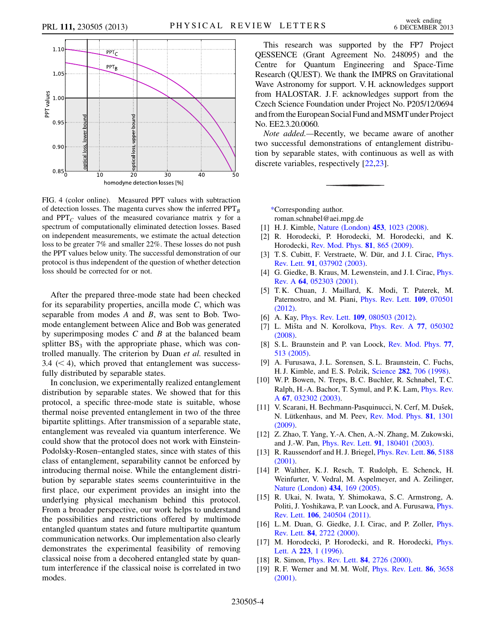<span id="page-3-19"></span>

FIG. 4 (color online). Measured PPT values with subtraction of detection losses. The magenta curves show the inferred  $PPT_B$ and PPT<sub>C</sub> values of the measured covariance matrix  $\gamma$  for a spectrum of computationally eliminated detection losses. Based on independent measurements, we estimate the actual detection loss to be greater 7% and smaller 22%. These losses do not push the PPT values below unity. The successful demonstration of our protocol is thus independent of the question of whether detection loss should be corrected for or not.

After the prepared three-mode state had been checked for its separability properties, ancilla mode  $C$ , which was separable from modes A and B, was sent to Bob. Twomode entanglement between Alice and Bob was generated by superimposing modes  $C$  and  $B$  at the balanced beam splitter  $BS_3$  with the appropriate phase, which was controlled manually. The criterion by Duan et al. resulted in  $3.4 \leq 4$ , which proved that entanglement was successfully distributed by separable states.

In conclusion, we experimentally realized entanglement distribution by separable states. We showed that for this protocol, a specific three-mode state is suitable, whose thermal noise prevented entanglement in two of the three bipartite splittings. After transmission of a separable state, entanglement was revealed via quantum interference. We could show that the protocol does not work with Einstein-Podolsky-Rosen–entangled states, since with states of this class of entanglement, separability cannot be enforced by introducing thermal noise. While the entanglement distribution by separable states seems counterintuitive in the first place, our experiment provides an insight into the underlying physical mechanism behind this protocol. From a broader perspective, our work helps to understand the possibilities and restrictions offered by multimode entangled quantum states and future multipartite quantum communication networks. Our implementation also clearly demonstrates the experimental feasibility of removing classical noise from a decohered entangled state by quantum interference if the classical noise is correlated in two modes.

This research was supported by the FP7 Project QESSENCE (Grant Agreement No. 248095) and the Centre for Quantum Engineering and Space-Time Research (QUEST). We thank the IMPRS on Gravitational Wave Astronomy for support. V. H. acknowledges support from HALOSTAR. J. F. acknowledges support from the Czech Science Foundation under Project No. P205/12/0694 and from the European Social Fund and MSMT under Project No. EE2.3.20.0060.

Note added.—Recently, we became aware of another two successful demonstrations of entanglement distribution by separable states, with continuous as well as with discrete variables, respectively [[22](#page-4-2),[23](#page-4-3)].

<span id="page-3-1"></span><span id="page-3-0"></span>[\\*C](#page-0-1)orresponding author.

roman.schnabel@aei.mpg.de

- <span id="page-3-2"></span>[1] H.J. Kimble, [Nature \(London\)](http://dx.doi.org/10.1038/nature07127) **453**, 1023 (2008).
- <span id="page-3-3"></span>[2] R. Horodecki, P. Horodecki, M. Horodecki, and K. Horodecki, [Rev. Mod. Phys.](http://dx.doi.org/10.1103/RevModPhys.81.865) 81, 865 (2009).
- <span id="page-3-4"></span>[3] T. S. Cubitt, F. Verstraete, W. Dür, and J. I. Cirac, *[Phys.](http://dx.doi.org/10.1103/PhysRevLett.91.037902)* Rev. Lett. 91[, 037902 \(2003\)](http://dx.doi.org/10.1103/PhysRevLett.91.037902).
- <span id="page-3-5"></span>[4] G. Giedke, B. Kraus, M. Lewenstein, and J. I. Cirac, *[Phys.](http://dx.doi.org/10.1103/PhysRevA.64.052303)* Rev. A 64[, 052303 \(2001\)](http://dx.doi.org/10.1103/PhysRevA.64.052303).
- <span id="page-3-6"></span>[5] T. K. Chuan, J. Maillard, K. Modi, T. Paterek, M. Paternostro, and M. Piani, [Phys. Rev. Lett.](http://dx.doi.org/10.1103/PhysRevLett.109.070501) 109, 070501 [\(2012\)](http://dx.doi.org/10.1103/PhysRevLett.109.070501).
- <span id="page-3-7"></span>[6] A. Kay, *Phys. Rev. Lett.* **109**[, 080503 \(2012\)](http://dx.doi.org/10.1103/PhysRevLett.109.080503).
- <span id="page-3-8"></span>[7] L. Mišta and N. Korolkova, *[Phys. Rev. A](http://dx.doi.org/10.1103/PhysRevA.77.050302) 77, 050302* [\(2008\)](http://dx.doi.org/10.1103/PhysRevA.77.050302).
- <span id="page-3-9"></span>[8] S.L. Braunstein and P. van Loock, [Rev. Mod. Phys.](http://dx.doi.org/10.1103/RevModPhys.77.513) 77, [513 \(2005\)](http://dx.doi.org/10.1103/RevModPhys.77.513).
- <span id="page-3-10"></span>[9] A. Furusawa, J. L. Sorensen, S. L. Braunstein, C. Fuchs, H. J. Kimble, and E. S. Polzik, Science 282[, 706 \(1998\).](http://dx.doi.org/10.1126/science.282.5389.706)
- <span id="page-3-11"></span>[10] W. P. Bowen, N. Treps, B. C. Buchler, R. Schnabel, T. C. Ralph, H.-A. Bachor, T. Symul, and P. K. Lam, [Phys. Rev.](http://dx.doi.org/10.1103/PhysRevA.67.032302) <sup>A</sup> 67[, 032302 \(2003\)](http://dx.doi.org/10.1103/PhysRevA.67.032302).
- <span id="page-3-12"></span>[11] V. Scarani, H. Bechmann-Pasquinucci, N. Cerf, M. Dušek, N. Lütkenhaus, and M. Peev, [Rev. Mod. Phys.](http://dx.doi.org/10.1103/RevModPhys.81.1301) 81, 1301 [\(2009\)](http://dx.doi.org/10.1103/RevModPhys.81.1301).
- <span id="page-3-13"></span>[12] Z. Zhao, T. Yang, Y.-A. Chen, A.-N. Zhang, M. Zukowski, and J.-W. Pan, Phys. Rev. Lett. 91[, 180401 \(2003\).](http://dx.doi.org/10.1103/PhysRevLett.91.180401)
- [13] R. Raussendorf and H. J. Briegel, *[Phys. Rev. Lett.](http://dx.doi.org/10.1103/PhysRevLett.86.5188)* 86, 5188 [\(2001\)](http://dx.doi.org/10.1103/PhysRevLett.86.5188).
- <span id="page-3-14"></span>[14] P. Walther, K. J. Resch, T. Rudolph, E. Schenck, H. Weinfurter, V. Vedral, M. Aspelmeyer, and A. Zeilinger, [Nature \(London\)](http://dx.doi.org/10.1038/nature03347) 434, 169 (2005).
- <span id="page-3-15"></span>[15] R. Ukai, N. Iwata, Y. Shimokawa, S. C. Armstrong, A. Politi, J. Yoshikawa, P. van Loock, and A. Furusawa, [Phys.](http://dx.doi.org/10.1103/PhysRevLett.106.240504) Rev. Lett. 106[, 240504 \(2011\).](http://dx.doi.org/10.1103/PhysRevLett.106.240504)
- <span id="page-3-16"></span>[16] L. M. Duan, G. Giedke, J. I. Cirac, and P. Zoller, *[Phys.](http://dx.doi.org/10.1103/PhysRevLett.84.2722)* Rev. Lett. 84[, 2722 \(2000\).](http://dx.doi.org/10.1103/PhysRevLett.84.2722)
- <span id="page-3-18"></span><span id="page-3-17"></span>[17] M. Horodecki, P. Horodecki, and R. Horodecki, *[Phys.](http://dx.doi.org/10.1016/S0375-9601(96)00706-2)* Lett. A 223[, 1 \(1996\)](http://dx.doi.org/10.1016/S0375-9601(96)00706-2).
- [18] R. Simon, *[Phys. Rev. Lett.](http://dx.doi.org/10.1103/PhysRevLett.84.2726)* **84**, 2726 (2000).
- [19] R. F. Werner and M. M. Wolf, *[Phys. Rev. Lett.](http://dx.doi.org/10.1103/PhysRevLett.86.3658)* **86**, 3658 [\(2001\)](http://dx.doi.org/10.1103/PhysRevLett.86.3658).